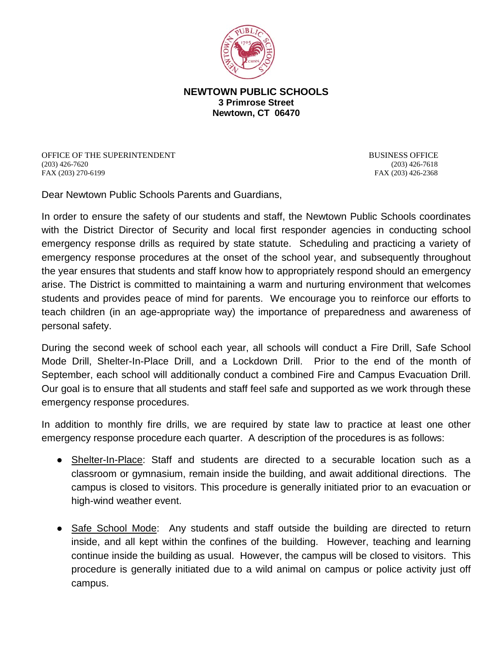

## **NEWTOWN PUBLIC SCHOOLS 3 Primrose Street Newtown, CT 06470**

OFFICE OF THE SUPERINTENDENT BUSINESS OFFICE (203) 426-7620 (203) 426-7618 FAX (203) 270-6199 FAX (203) 426-2368

Dear Newtown Public Schools Parents and Guardians,

In order to ensure the safety of our students and staff, the Newtown Public Schools coordinates with the District Director of Security and local first responder agencies in conducting school emergency response drills as required by state statute. Scheduling and practicing a variety of emergency response procedures at the onset of the school year, and subsequently throughout the year ensures that students and staff know how to appropriately respond should an emergency arise. The District is committed to maintaining a warm and nurturing environment that welcomes students and provides peace of mind for parents. We encourage you to reinforce our efforts to teach children (in an age-appropriate way) the importance of preparedness and awareness of personal safety.

During the second week of school each year, all schools will conduct a Fire Drill, Safe School Mode Drill, Shelter-In-Place Drill, and a Lockdown Drill. Prior to the end of the month of September, each school will additionally conduct a combined Fire and Campus Evacuation Drill. Our goal is to ensure that all students and staff feel safe and supported as we work through these emergency response procedures.

In addition to monthly fire drills, we are required by state law to practice at least one other emergency response procedure each quarter. A description of the procedures is as follows:

- Shelter-In-Place: Staff and students are directed to a securable location such as a classroom or gymnasium, remain inside the building, and await additional directions. The campus is closed to visitors. This procedure is generally initiated prior to an evacuation or high-wind weather event.
- Safe School Mode: Any students and staff outside the building are directed to return inside, and all kept within the confines of the building. However, teaching and learning continue inside the building as usual. However, the campus will be closed to visitors. This procedure is generally initiated due to a wild animal on campus or police activity just off campus.